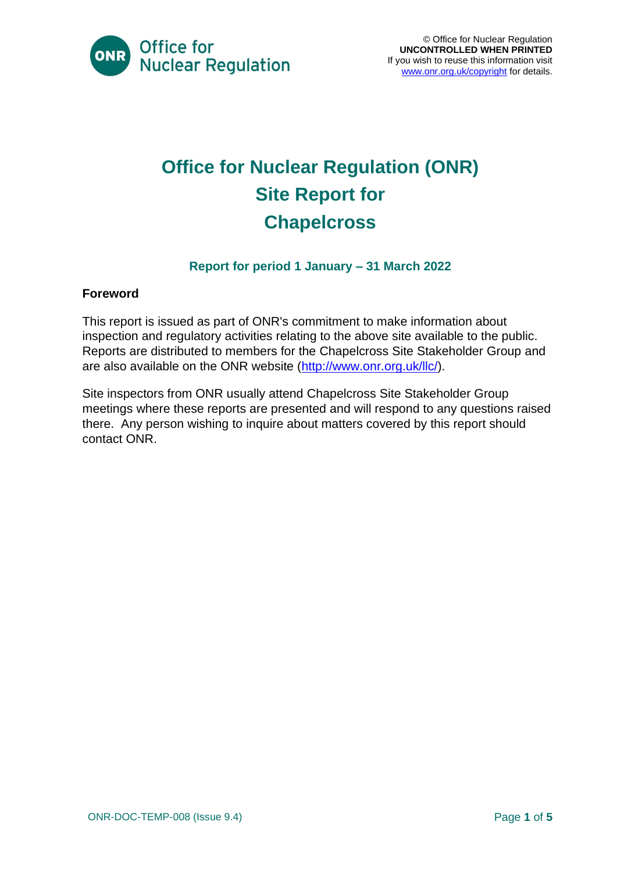

### **Office for Nuclear Regulation (ONR) Site Report for Chapelcross**

#### **Report for period 1 January – 31 March 2022**

#### **Foreword**

This report is issued as part of ONR's commitment to make information about inspection and regulatory activities relating to the above site available to the public. Reports are distributed to members for the Chapelcross Site Stakeholder Group and are also available on the ONR website [\(http://www.onr.org.uk/llc/\)](http://www.onr.org.uk/llc/).

Site inspectors from ONR usually attend Chapelcross Site Stakeholder Group meetings where these reports are presented and will respond to any questions raised there. Any person wishing to inquire about matters covered by this report should contact ONR.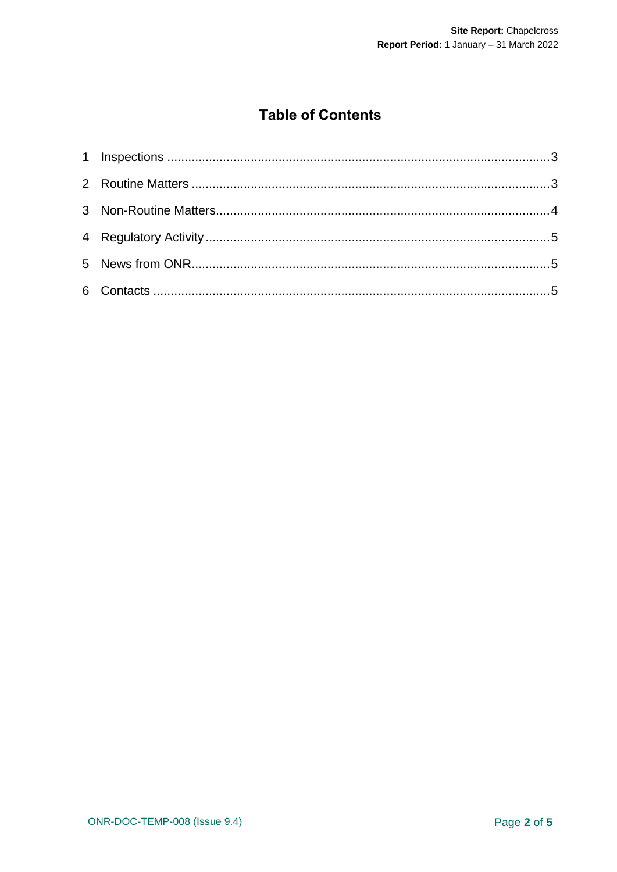#### **Table of Contents**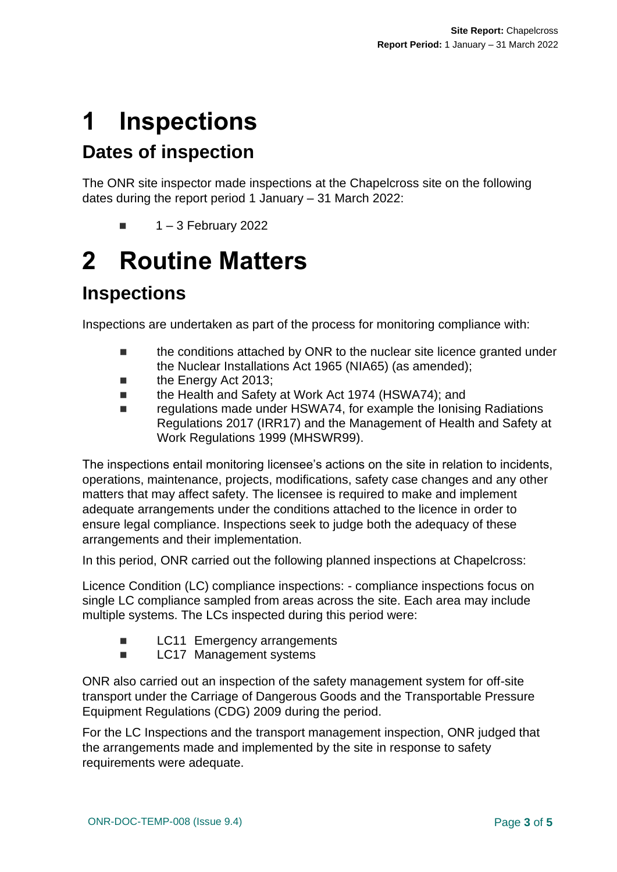# <span id="page-2-0"></span>**1 Inspections**

### **Dates of inspection**

The ONR site inspector made inspections at the Chapelcross site on the following dates during the report period 1 January – 31 March 2022:

 $\blacksquare$  1 – 3 February 2022

# <span id="page-2-1"></span>**2 Routine Matters**

#### **Inspections**

Inspections are undertaken as part of the process for monitoring compliance with:

- the conditions attached by ONR to the nuclear site licence granted under the Nuclear Installations Act 1965 (NIA65) (as amended);
- the Energy Act 2013:
- the Health and Safety at Work Act 1974 (HSWA74); and
- regulations made under HSWA74, for example the Ionising Radiations Regulations 2017 (IRR17) and the Management of Health and Safety at Work Regulations 1999 (MHSWR99).

The inspections entail monitoring licensee's actions on the site in relation to incidents, operations, maintenance, projects, modifications, safety case changes and any other matters that may affect safety. The licensee is required to make and implement adequate arrangements under the conditions attached to the licence in order to ensure legal compliance. Inspections seek to judge both the adequacy of these arrangements and their implementation.

In this period, ONR carried out the following planned inspections at Chapelcross:

Licence Condition (LC) compliance inspections: - compliance inspections focus on single LC compliance sampled from areas across the site. Each area may include multiple systems. The LCs inspected during this period were:

- **LC11** Emergency arrangements
- LC17 Management systems

ONR also carried out an inspection of the safety management system for off-site transport under the Carriage of Dangerous Goods and the Transportable Pressure Equipment Regulations (CDG) 2009 during the period.

For the LC Inspections and the transport management inspection, ONR judged that the arrangements made and implemented by the site in response to safety requirements were adequate.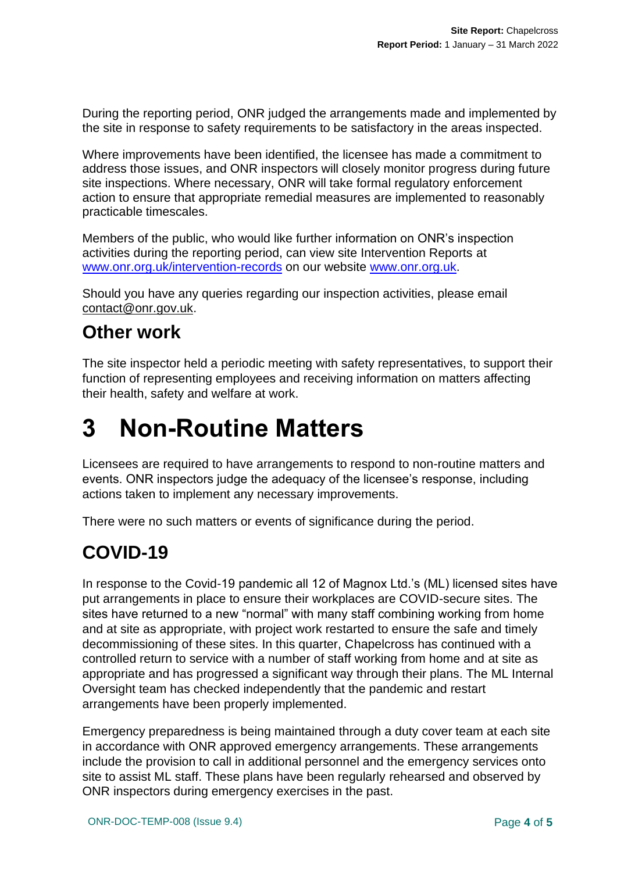During the reporting period, ONR judged the arrangements made and implemented by the site in response to safety requirements to be satisfactory in the areas inspected.

Where improvements have been identified, the licensee has made a commitment to address those issues, and ONR inspectors will closely monitor progress during future site inspections. Where necessary, ONR will take formal regulatory enforcement action to ensure that appropriate remedial measures are implemented to reasonably practicable timescales.

Members of the public, who would like further information on ONR's inspection activities during the reporting period, can view site Intervention Reports at [www.onr.org.uk/intervention-records](http://www.onr.org.uk/intervention-records) on our website [www.onr.org.uk.](http://www.onr.org.uk/)

Should you have any queries regarding our inspection activities, please email [contact@onr.gov.uk.](mailto:contact@onr.gov.uk)

#### **Other work**

The site inspector held a periodic meeting with safety representatives, to support their function of representing employees and receiving information on matters affecting their health, safety and welfare at work.

### <span id="page-3-0"></span>**3 Non-Routine Matters**

Licensees are required to have arrangements to respond to non-routine matters and events. ONR inspectors judge the adequacy of the licensee's response, including actions taken to implement any necessary improvements.

There were no such matters or events of significance during the period.

#### **COVID-19**

In response to the Covid-19 pandemic all 12 of Magnox Ltd.'s (ML) licensed sites have put arrangements in place to ensure their workplaces are COVID-secure sites. The sites have returned to a new "normal" with many staff combining working from home and at site as appropriate, with project work restarted to ensure the safe and timely decommissioning of these sites. In this quarter, Chapelcross has continued with a controlled return to service with a number of staff working from home and at site as appropriate and has progressed a significant way through their plans. The ML Internal Oversight team has checked independently that the pandemic and restart arrangements have been properly implemented.

Emergency preparedness is being maintained through a duty cover team at each site in accordance with ONR approved emergency arrangements. These arrangements include the provision to call in additional personnel and the emergency services onto site to assist ML staff. These plans have been regularly rehearsed and observed by ONR inspectors during emergency exercises in the past.